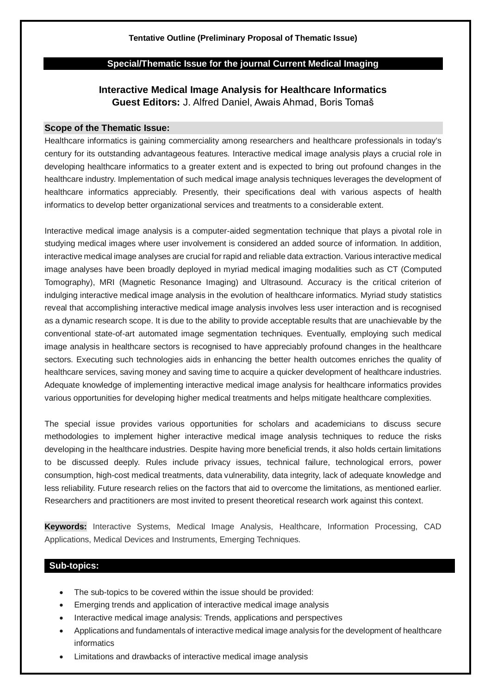#### **Tentative Outline (Preliminary Proposal of Thematic Issue)**

### **Special/Thematic Issue for the journal Current Medical Imaging**

# **Interactive Medical Image Analysis for Healthcare Informatics Guest Editors:** J. Alfred Daniel, Awais Ahmad, Boris Tomaš

#### **Scope of the Thematic Issue:**

Healthcare informatics is gaining commerciality among researchers and healthcare professionals in today's century for its outstanding advantageous features. Interactive medical image analysis plays a crucial role in developing healthcare informatics to a greater extent and is expected to bring out profound changes in the healthcare industry. Implementation of such medical image analysis techniques leverages the development of healthcare informatics appreciably. Presently, their specifications deal with various aspects of health informatics to develop better organizational services and treatments to a considerable extent.

Interactive medical image analysis is a computer-aided segmentation technique that plays a pivotal role in studying medical images where user involvement is considered an added source of information. In addition, interactive medical image analyses are crucial for rapid and reliable data extraction. Various interactive medical image analyses have been broadly deployed in myriad medical imaging modalities such as CT (Computed Tomography), MRI (Magnetic Resonance Imaging) and Ultrasound. Accuracy is the critical criterion of indulging interactive medical image analysis in the evolution of healthcare informatics. Myriad study statistics reveal that accomplishing interactive medical image analysis involves less user interaction and is recognised as a dynamic research scope. It is due to the ability to provide acceptable results that are unachievable by the conventional state-of-art automated image segmentation techniques. Eventually, employing such medical image analysis in healthcare sectors is recognised to have appreciably profound changes in the healthcare sectors. Executing such technologies aids in enhancing the better health outcomes enriches the quality of healthcare services, saving money and saving time to acquire a quicker development of healthcare industries. Adequate knowledge of implementing interactive medical image analysis for healthcare informatics provides various opportunities for developing higher medical treatments and helps mitigate healthcare complexities.

The special issue provides various opportunities for scholars and academicians to discuss secure methodologies to implement higher interactive medical image analysis techniques to reduce the risks developing in the healthcare industries. Despite having more beneficial trends, it also holds certain limitations to be discussed deeply. Rules include privacy issues, technical failure, technological errors, power consumption, high-cost medical treatments, data vulnerability, data integrity, lack of adequate knowledge and less reliability. Future research relies on the factors that aid to overcome the limitations, as mentioned earlier. Researchers and practitioners are most invited to present theoretical research work against this context.

**Keywords:** Interactive Systems, Medical Image Analysis, Healthcare, Information Processing, CAD Applications, Medical Devices and Instruments, Emerging Techniques.

# **Sub-topics:**

- The sub-topics to be covered within the issue should be provided:
- Emerging trends and application of interactive medical image analysis
- Interactive medical image analysis: Trends, applications and perspectives
- Applications and fundamentals of interactive medical image analysis for the development of healthcare informatics
- Limitations and drawbacks of interactive medical image analysis